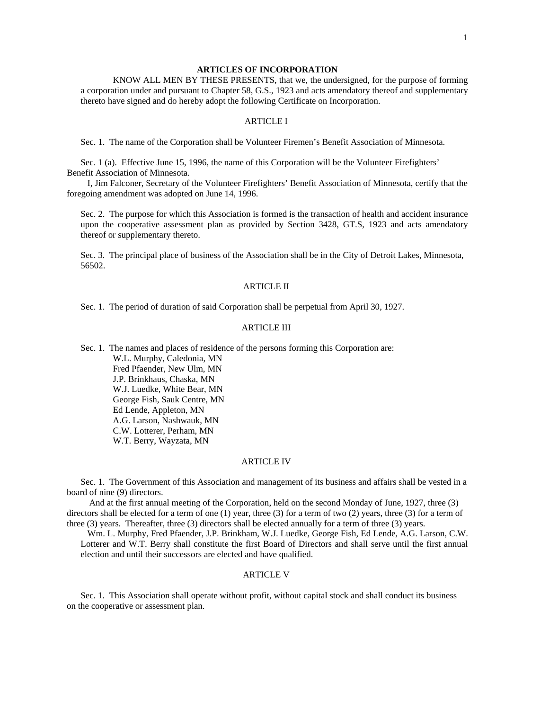#### **ARTICLES OF INCORPORATION**

 KNOW ALL MEN BY THESE PRESENTS, that we, the undersigned, for the purpose of forming a corporation under and pursuant to Chapter 58, G.S., 1923 and acts amendatory thereof and supplementary thereto have signed and do hereby adopt the following Certificate on Incorporation.

#### ARTICLE I

Sec. 1. The name of the Corporation shall be Volunteer Firemen's Benefit Association of Minnesota.

 Sec. 1 (a). Effective June 15, 1996, the name of this Corporation will be the Volunteer Firefighters' Benefit Association of Minnesota.

 I, Jim Falconer, Secretary of the Volunteer Firefighters' Benefit Association of Minnesota, certify that the foregoing amendment was adopted on June 14, 1996.

 Sec. 2. The purpose for which this Association is formed is the transaction of health and accident insurance upon the cooperative assessment plan as provided by Section 3428, GT.S, 1923 and acts amendatory thereof or supplementary thereto.

 Sec. 3. The principal place of business of the Association shall be in the City of Detroit Lakes, Minnesota, 56502.

### ARTICLE II

Sec. 1. The period of duration of said Corporation shall be perpetual from April 30, 1927.

## ARTICLE III

Sec. 1. The names and places of residence of the persons forming this Corporation are:

 W.L. Murphy, Caledonia, MN Fred Pfaender, New Ulm, MN J.P. Brinkhaus, Chaska, MN W.J. Luedke, White Bear, MN George Fish, Sauk Centre, MN Ed Lende, Appleton, MN A.G. Larson, Nashwauk, MN C.W. Lotterer, Perham, MN W.T. Berry, Wayzata, MN

### ARTICLE IV

 Sec. 1. The Government of this Association and management of its business and affairs shall be vested in a board of nine (9) directors.

 And at the first annual meeting of the Corporation, held on the second Monday of June, 1927, three (3) directors shall be elected for a term of one (1) year, three (3) for a term of two (2) years, three (3) for a term of three (3) years. Thereafter, three (3) directors shall be elected annually for a term of three (3) years.

 Wm. L. Murphy, Fred Pfaender, J.P. Brinkham, W.J. Luedke, George Fish, Ed Lende, A.G. Larson, C.W. Lotterer and W.T. Berry shall constitute the first Board of Directors and shall serve until the first annual election and until their successors are elected and have qualified.

### ARTICLE V

 Sec. 1. This Association shall operate without profit, without capital stock and shall conduct its business on the cooperative or assessment plan.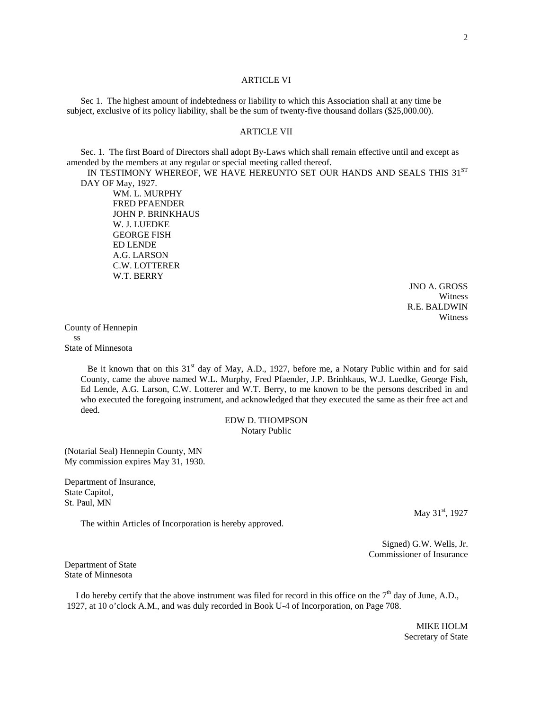#### ARTICLE VI

 Sec 1. The highest amount of indebtedness or liability to which this Association shall at any time be subject, exclusive of its policy liability, shall be the sum of twenty-five thousand dollars (\$25,000.00).

### ARTICLE VII

 Sec. 1. The first Board of Directors shall adopt By-Laws which shall remain effective until and except as amended by the members at any regular or special meeting called thereof.

IN TESTIMONY WHEREOF, WE HAVE HEREUNTO SET OUR HANDS AND SEALS THIS 31ST DAY OF May, 1927.

> WM. L. MURPHY FRED PFAENDER JOHN P. BRINKHAUS W. J. LUEDKE GEORGE FISH ED LENDE A.G. LARSON C.W. LOTTERER W.T. BERRY

> > JNO A. GROSS **Witness** R.E. BALDWIN Witness

County of Hennepin ss State of Minnesota

> Be it known that on this  $31<sup>st</sup>$  day of May, A.D., 1927, before me, a Notary Public within and for said County, came the above named W.L. Murphy, Fred Pfaender, J.P. Brinhkaus, W.J. Luedke, George Fish, Ed Lende, A.G. Larson, C.W. Lotterer and W.T. Berry, to me known to be the persons described in and who executed the foregoing instrument, and acknowledged that they executed the same as their free act and deed.

### EDW D. THOMPSON Notary Public

(Notarial Seal) Hennepin County, MN My commission expires May 31, 1930.

Department of Insurance, State Capitol, St. Paul, MN

The within Articles of Incorporation is hereby approved.

May 31<sup>st</sup>, 1927

 Signed) G.W. Wells, Jr. Commissioner of Insurance

Department of State State of Minnesota

I do hereby certify that the above instrument was filed for record in this office on the 7<sup>th</sup> day of June, A.D., 1927, at 10 o'clock A.M., and was duly recorded in Book U-4 of Incorporation, on Page 708.

> MIKE HOLM Secretary of State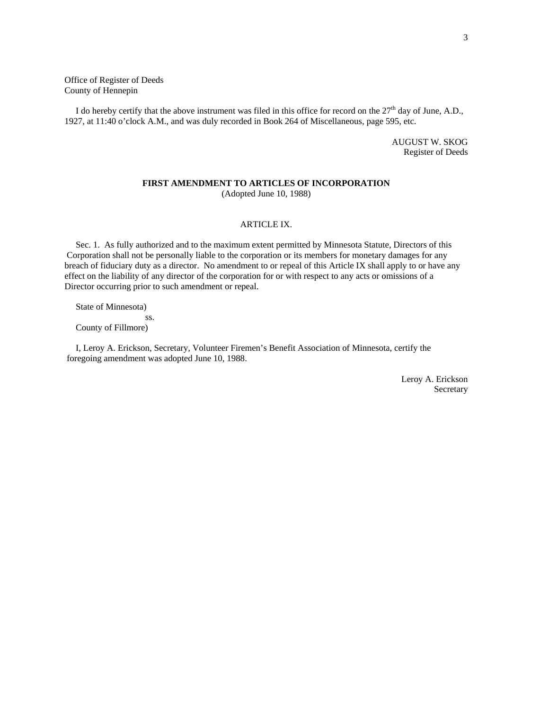Office of Register of Deeds County of Hennepin

I do hereby certify that the above instrument was filed in this office for record on the  $27<sup>th</sup>$  day of June, A.D., 1927, at 11:40 o'clock A.M., and was duly recorded in Book 264 of Miscellaneous, page 595, etc.

> AUGUST W. SKOG Register of Deeds

#### **FIRST AMENDMENT TO ARTICLES OF INCORPORATION** (Adopted June 10, 1988)

#### ARTICLE IX.

 Sec. 1. As fully authorized and to the maximum extent permitted by Minnesota Statute, Directors of this Corporation shall not be personally liable to the corporation or its members for monetary damages for any breach of fiduciary duty as a director. No amendment to or repeal of this Article IX shall apply to or have any effect on the liability of any director of the corporation for or with respect to any acts or omissions of a Director occurring prior to such amendment or repeal.

State of Minnesota)

 ss. County of Fillmore)

 I, Leroy A. Erickson, Secretary, Volunteer Firemen's Benefit Association of Minnesota, certify the foregoing amendment was adopted June 10, 1988.

> Leroy A. Erickson Secretary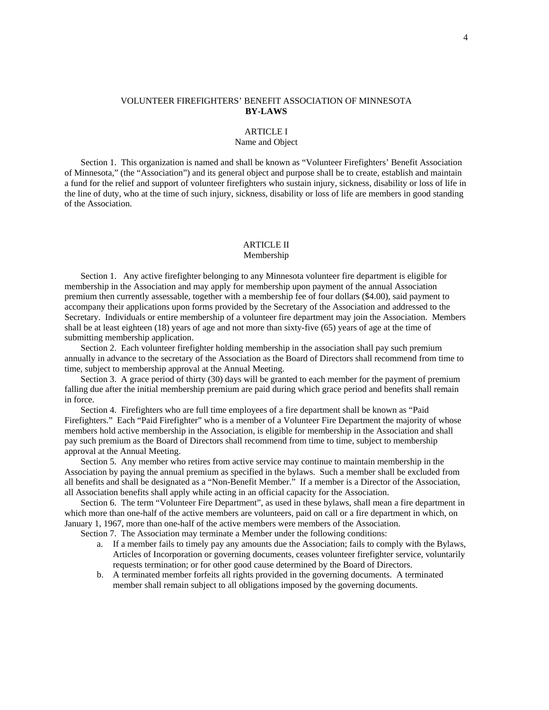## VOLUNTEER FIREFIGHTERS' BENEFIT ASSOCIATION OF MINNESOTA **BY-LAWS**

#### ARTICLE I

# Name and Object

 Section 1. This organization is named and shall be known as "Volunteer Firefighters' Benefit Association of Minnesota," (the "Association") and its general object and purpose shall be to create, establish and maintain a fund for the relief and support of volunteer firefighters who sustain injury, sickness, disability or loss of life in the line of duty, who at the time of such injury, sickness, disability or loss of life are members in good standing of the Association.

#### ARTICLE II Membership

 Section 1. Any active firefighter belonging to any Minnesota volunteer fire department is eligible for membership in the Association and may apply for membership upon payment of the annual Association premium then currently assessable, together with a membership fee of four dollars (\$4.00), said payment to accompany their applications upon forms provided by the Secretary of the Association and addressed to the Secretary. Individuals or entire membership of a volunteer fire department may join the Association. Members shall be at least eighteen (18) years of age and not more than sixty-five (65) years of age at the time of submitting membership application.

 Section 2. Each volunteer firefighter holding membership in the association shall pay such premium annually in advance to the secretary of the Association as the Board of Directors shall recommend from time to time, subject to membership approval at the Annual Meeting.

 Section 3. A grace period of thirty (30) days will be granted to each member for the payment of premium falling due after the initial membership premium are paid during which grace period and benefits shall remain in force.

 Section 4. Firefighters who are full time employees of a fire department shall be known as "Paid Firefighters." Each "Paid Firefighter" who is a member of a Volunteer Fire Department the majority of whose members hold active membership in the Association, is eligible for membership in the Association and shall pay such premium as the Board of Directors shall recommend from time to time, subject to membership approval at the Annual Meeting.

 Section 5. Any member who retires from active service may continue to maintain membership in the Association by paying the annual premium as specified in the bylaws. Such a member shall be excluded from all benefits and shall be designated as a "Non-Benefit Member." If a member is a Director of the Association, all Association benefits shall apply while acting in an official capacity for the Association.

 Section 6. The term "Volunteer Fire Department", as used in these bylaws, shall mean a fire department in which more than one-half of the active members are volunteers, paid on call or a fire department in which, on January 1, 1967, more than one-half of the active members were members of the Association.

Section 7. The Association may terminate a Member under the following conditions:

- a. If a member fails to timely pay any amounts due the Association; fails to comply with the Bylaws, Articles of Incorporation or governing documents, ceases volunteer firefighter service, voluntarily requests termination; or for other good cause determined by the Board of Directors.
- b. A terminated member forfeits all rights provided in the governing documents. A terminated member shall remain subject to all obligations imposed by the governing documents.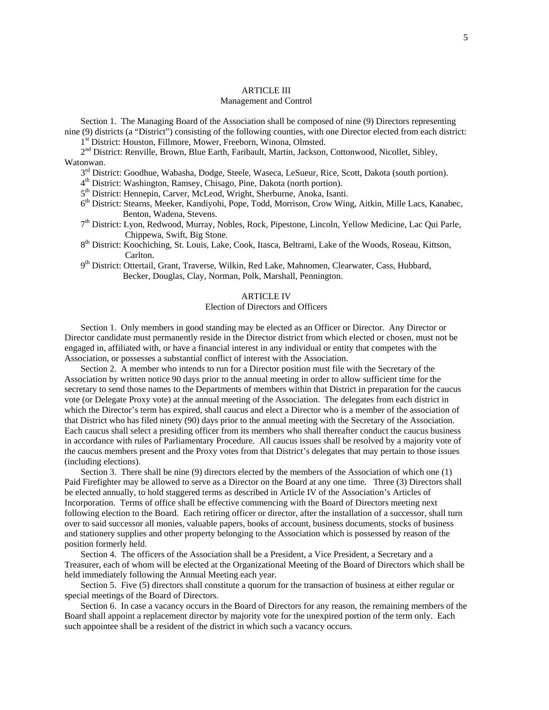### ARTICLE III

### Management and Control

 Section 1. The Managing Board of the Association shall be composed of nine (9) Directors representing nine (9) districts (a "District") consisting of the following counties, with one Director elected from each district:

1<sup>st</sup> District: Houston, Fillmore, Mower, Freeborn, Winona, Olmsted.

 $2<sup>nd</sup>$  District: Renville, Brown, Blue Earth, Faribault, Martin, Jackson, Cottonwood, Nicollet, Sibley, Watonwan.

 $3<sup>rd</sup>$  District: Goodhue, Wabasha, Dodge, Steele, Waseca, LeSueur, Rice, Scott, Dakota (south portion).

4th District: Washington, Ramsey, Chisago, Pine, Dakota (north portion).

5th District: Hennepin, Carver, McLeod, Wright, Sherburne, Anoka, Isanti.

- $6<sup>th</sup>$  District: Stearns, Meeker, Kandiyohi, Pope, Todd, Morrison, Crow Wing, Aitkin, Mille Lacs, Kanabec, Benton, Wadena, Stevens.
- 7th District: Lyon, Redwood, Murray, Nobles, Rock, Pipestone, Lincoln, Yellow Medicine, Lac Qui Parle, Chippewa, Swift, Big Stone.
- 8th District: Koochiching, St. Louis, Lake, Cook, Itasca, Beltrami, Lake of the Woods, Roseau, Kittson, Carlton.

9<sup>th</sup> District: Ottertail, Grant, Traverse, Wilkin, Red Lake, Mahnomen, Clearwater, Cass, Hubbard, Becker, Douglas, Clay, Norman, Polk, Marshall, Pennington.

### ARTICLE IV

### Election of Directors and Officers

 Section 1. Only members in good standing may be elected as an Officer or Director. Any Director or Director candidate must permanently reside in the Director district from which elected or chosen, must not be engaged in, affiliated with, or have a financial interest in any individual or entity that competes with the Association, or possesses a substantial conflict of interest with the Association.

Section 2. A member who intends to run for a Director position must file with the Secretary of the Association by written notice 90 days prior to the annual meeting in order to allow sufficient time for the secretary to send those names to the Departments of members within that District in preparation for the caucus vote (or Delegate Proxy vote) at the annual meeting of the Association. The delegates from each district in which the Director's term has expired, shall caucus and elect a Director who is a member of the association of that District who has filed ninety (90) days prior to the annual meeting with the Secretary of the Association. Each caucus shall select a presiding officer from its members who shall thereafter conduct the caucus business in accordance with rules of Parliamentary Procedure. All caucus issues shall be resolved by a majority vote of the caucus members present and the Proxy votes from that District's delegates that may pertain to those issues (including elections).

 Section 3. There shall be nine (9) directors elected by the members of the Association of which one (1) Paid Firefighter may be allowed to serve as a Director on the Board at any one time. Three (3) Directors shall be elected annually, to hold staggered terms as described in Article IV of the Association's Articles of Incorporation. Terms of office shall be effective commencing with the Board of Directors meeting next following election to the Board. Each retiring officer or director, after the installation of a successor, shall turn over to said successor all monies, valuable papers, books of account, business documents, stocks of business and stationery supplies and other property belonging to the Association which is possessed by reason of the position formerly held.

 Section 4. The officers of the Association shall be a President, a Vice President, a Secretary and a Treasurer, each of whom will be elected at the Organizational Meeting of the Board of Directors which shall be held immediately following the Annual Meeting each year.

 Section 5. Five (5) directors shall constitute a quorum for the transaction of business at either regular or special meetings of the Board of Directors.

 Section 6. In case a vacancy occurs in the Board of Directors for any reason, the remaining members of the Board shall appoint a replacement director by majority vote for the unexpired portion of the term only. Each such appointee shall be a resident of the district in which such a vacancy occurs.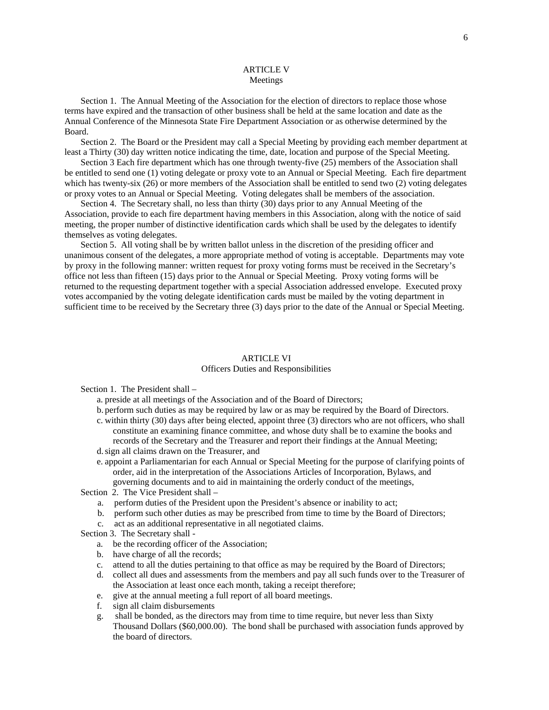### ARTICLE V Meetings

 Section 1. The Annual Meeting of the Association for the election of directors to replace those whose terms have expired and the transaction of other business shall be held at the same location and date as the Annual Conference of the Minnesota State Fire Department Association or as otherwise determined by the Board.

 Section 2. The Board or the President may call a Special Meeting by providing each member department at least a Thirty (30) day written notice indicating the time, date, location and purpose of the Special Meeting.

 Section 3 Each fire department which has one through twenty-five (25) members of the Association shall be entitled to send one (1) voting delegate or proxy vote to an Annual or Special Meeting. Each fire department which has twenty-six (26) or more members of the Association shall be entitled to send two (2) voting delegates or proxy votes to an Annual or Special Meeting. Voting delegates shall be members of the association.

 Section 4. The Secretary shall, no less than thirty (30) days prior to any Annual Meeting of the Association, provide to each fire department having members in this Association, along with the notice of said meeting, the proper number of distinctive identification cards which shall be used by the delegates to identify themselves as voting delegates.

 Section 5. All voting shall be by written ballot unless in the discretion of the presiding officer and unanimous consent of the delegates, a more appropriate method of voting is acceptable. Departments may vote by proxy in the following manner: written request for proxy voting forms must be received in the Secretary's office not less than fifteen (15) days prior to the Annual or Special Meeting. Proxy voting forms will be returned to the requesting department together with a special Association addressed envelope. Executed proxy votes accompanied by the voting delegate identification cards must be mailed by the voting department in sufficient time to be received by the Secretary three (3) days prior to the date of the Annual or Special Meeting.

#### ARTICLE VI

#### Officers Duties and Responsibilities

Section 1. The President shall –

- a. preside at all meetings of the Association and of the Board of Directors;
- b. perform such duties as may be required by law or as may be required by the Board of Directors.
- c. within thirty (30) days after being elected, appoint three (3) directors who are not officers, who shall constitute an examining finance committee, and whose duty shall be to examine the books and records of the Secretary and the Treasurer and report their findings at the Annual Meeting; d.sign all claims drawn on the Treasurer, and
- e. appoint a Parliamentarian for each Annual or Special Meeting for the purpose of clarifying points of order, aid in the interpretation of the Associations Articles of Incorporation, Bylaws, and governing documents and to aid in maintaining the orderly conduct of the meetings,

Section 2. The Vice President shall –

- a. perform duties of the President upon the President's absence or inability to act;
- b. perform such other duties as may be prescribed from time to time by the Board of Directors;
- c. act as an additional representative in all negotiated claims.

Section 3. The Secretary shall -

- a. be the recording officer of the Association;
- b. have charge of all the records;
- c. attend to all the duties pertaining to that office as may be required by the Board of Directors;
- d. collect all dues and assessments from the members and pay all such funds over to the Treasurer of the Association at least once each month, taking a receipt therefore;
- e. give at the annual meeting a full report of all board meetings.
- f. sign all claim disbursements
- g. shall be bonded, as the directors may from time to time require, but never less than Sixty Thousand Dollars (\$60,000.00). The bond shall be purchased with association funds approved by the board of directors.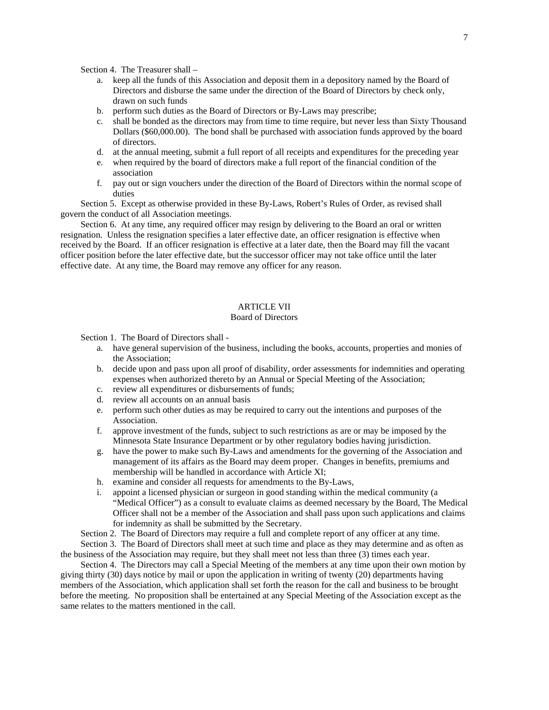Section 4. The Treasurer shall –

- a. keep all the funds of this Association and deposit them in a depository named by the Board of Directors and disburse the same under the direction of the Board of Directors by check only, drawn on such funds
- b. perform such duties as the Board of Directors or By-Laws may prescribe;
- c. shall be bonded as the directors may from time to time require, but never less than Sixty Thousand Dollars (\$60,000.00). The bond shall be purchased with association funds approved by the board of directors.
- d. at the annual meeting, submit a full report of all receipts and expenditures for the preceding year
- e. when required by the board of directors make a full report of the financial condition of the association
- f. pay out or sign vouchers under the direction of the Board of Directors within the normal scope of duties

Section 5. Except as otherwise provided in these By-Laws, Robert's Rules of Order, as revised shall govern the conduct of all Association meetings.

Section 6. At any time, any required officer may resign by delivering to the Board an oral or written resignation. Unless the resignation specifies a later effective date, an officer resignation is effective when received by the Board. If an officer resignation is effective at a later date, then the Board may fill the vacant officer position before the later effective date, but the successor officer may not take office until the later effective date. At any time, the Board may remove any officer for any reason.

# ARTICLE VII

#### Board of Directors

Section 1. The Board of Directors shall -

- a. have general supervision of the business, including the books, accounts, properties and monies of the Association;
- b. decide upon and pass upon all proof of disability, order assessments for indemnities and operating expenses when authorized thereto by an Annual or Special Meeting of the Association;
- c. review all expenditures or disbursements of funds;
- d. review all accounts on an annual basis
- e. perform such other duties as may be required to carry out the intentions and purposes of the Association.
- f. approve investment of the funds, subject to such restrictions as are or may be imposed by the Minnesota State Insurance Department or by other regulatory bodies having jurisdiction.
- g. have the power to make such By-Laws and amendments for the governing of the Association and management of its affairs as the Board may deem proper. Changes in benefits, premiums and membership will be handled in accordance with Article XI;
- h. examine and consider all requests for amendments to the By-Laws,
- i. appoint a licensed physician or surgeon in good standing within the medical community (a "Medical Officer") as a consult to evaluate claims as deemed necessary by the Board, The Medical Officer shall not be a member of the Association and shall pass upon such applications and claims for indemnity as shall be submitted by the Secretary.

Section 2. The Board of Directors may require a full and complete report of any officer at any time.

 Section 3. The Board of Directors shall meet at such time and place as they may determine and as often as the business of the Association may require, but they shall meet not less than three (3) times each year.

 Section 4. The Directors may call a Special Meeting of the members at any time upon their own motion by giving thirty (30) days notice by mail or upon the application in writing of twenty (20) departments having members of the Association, which application shall set forth the reason for the call and business to be brought before the meeting. No proposition shall be entertained at any Special Meeting of the Association except as the same relates to the matters mentioned in the call.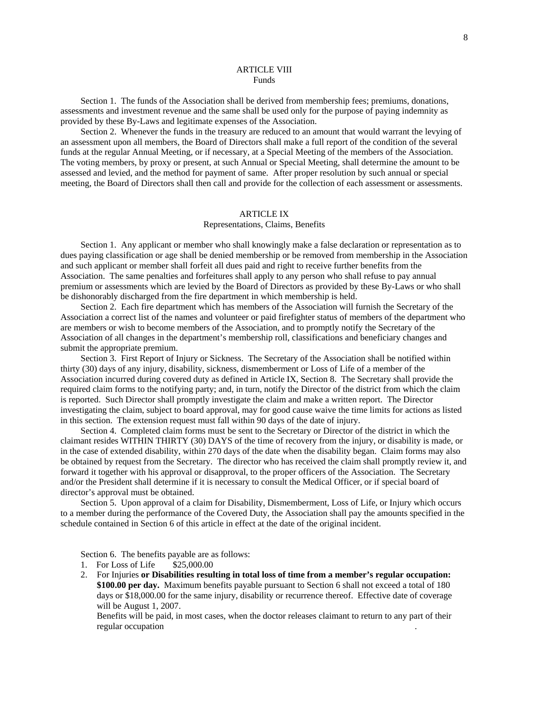### ARTICLE VIII Funds

 Section 1. The funds of the Association shall be derived from membership fees; premiums, donations, assessments and investment revenue and the same shall be used only for the purpose of paying indemnity as provided by these By-Laws and legitimate expenses of the Association.

 Section 2. Whenever the funds in the treasury are reduced to an amount that would warrant the levying of an assessment upon all members, the Board of Directors shall make a full report of the condition of the several funds at the regular Annual Meeting, or if necessary, at a Special Meeting of the members of the Association. The voting members, by proxy or present, at such Annual or Special Meeting, shall determine the amount to be assessed and levied, and the method for payment of same. After proper resolution by such annual or special meeting, the Board of Directors shall then call and provide for the collection of each assessment or assessments.

### ARTICLE IX

#### Representations, Claims, Benefits

 Section 1. Any applicant or member who shall knowingly make a false declaration or representation as to dues paying classification or age shall be denied membership or be removed from membership in the Association and such applicant or member shall forfeit all dues paid and right to receive further benefits from the Association. The same penalties and forfeitures shall apply to any person who shall refuse to pay annual premium or assessments which are levied by the Board of Directors as provided by these By-Laws or who shall be dishonorably discharged from the fire department in which membership is held.

 Section 2. Each fire department which has members of the Association will furnish the Secretary of the Association a correct list of the names and volunteer or paid firefighter status of members of the department who are members or wish to become members of the Association, and to promptly notify the Secretary of the Association of all changes in the department's membership roll, classifications and beneficiary changes and submit the appropriate premium.

 Section 3. First Report of Injury or Sickness. The Secretary of the Association shall be notified within thirty (30) days of any injury, disability, sickness, dismemberment or Loss of Life of a member of the Association incurred during covered duty as defined in Article IX, Section 8. The Secretary shall provide the required claim forms to the notifying party; and, in turn, notify the Director of the district from which the claim is reported. Such Director shall promptly investigate the claim and make a written report. The Director investigating the claim, subject to board approval, may for good cause waive the time limits for actions as listed in this section. The extension request must fall within 90 days of the date of injury.

 Section 4. Completed claim forms must be sent to the Secretary or Director of the district in which the claimant resides WITHIN THIRTY (30) DAYS of the time of recovery from the injury, or disability is made, or in the case of extended disability, within 270 days of the date when the disability began. Claim forms may also be obtained by request from the Secretary. The director who has received the claim shall promptly review it, and forward it together with his approval or disapproval, to the proper officers of the Association. The Secretary and/or the President shall determine if it is necessary to consult the Medical Officer, or if special board of director's approval must be obtained.

 Section 5. Upon approval of a claim for Disability, Dismemberment, Loss of Life, or Injury which occurs to a member during the performance of the Covered Duty, the Association shall pay the amounts specified in the schedule contained in Section 6 of this article in effect at the date of the original incident.

Section 6. The benefits payable are as follows:

- 1. For Loss of Life \$25,000.00
- 2. For Injuries **or Disabilities resulting in total loss of time from a member's regular occupation: \$100.00 per day.** Maximum benefits payable pursuant to Section 6 shall not exceed a total of 180 days or \$18,000.00 for the same injury, disability or recurrence thereof. Effective date of coverage will be August 1, 2007.

Benefits will be paid, in most cases, when the doctor releases claimant to return to any part of their regular occupation .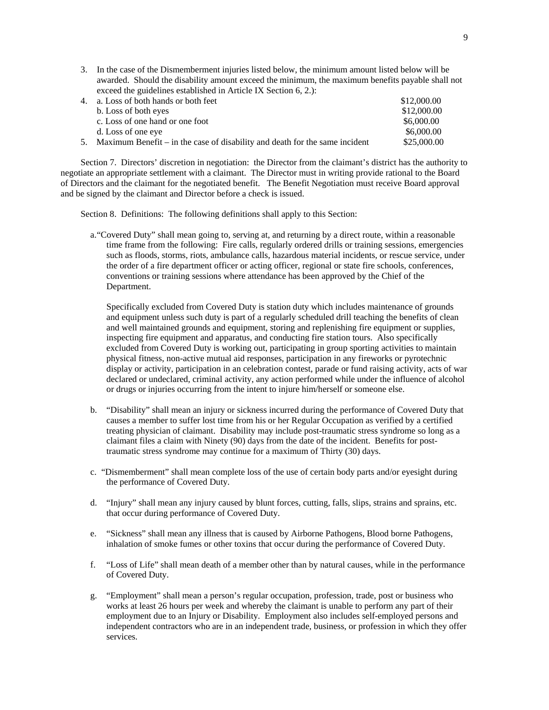| 3. In the case of the Dismemberment injuries listed below, the minimum amount listed below will be |             |  |
|----------------------------------------------------------------------------------------------------|-------------|--|
| awarded. Should the disability amount exceed the minimum, the maximum benefits payable shall not   |             |  |
| exceed the guidelines established in Article IX Section 6, 2.):                                    |             |  |
| 4. a. Loss of both hands or both feet                                                              | \$12,000.00 |  |

| $\pm$ . a. LOSS OF DOLITIATION OF DOLITIC C                                    | 012.000.00  |
|--------------------------------------------------------------------------------|-------------|
| b. Loss of both eyes                                                           | \$12,000.00 |
| c. Loss of one hand or one foot                                                | \$6,000.00  |
| d. Loss of one eye                                                             | \$6,000.00  |
| 5. Maximum Benefit – in the case of disability and death for the same incident | \$25,000.00 |

Section 7. Directors' discretion in negotiation: the Director from the claimant's district has the authority to negotiate an appropriate settlement with a claimant. The Director must in writing provide rational to the Board of Directors and the claimant for the negotiated benefit. The Benefit Negotiation must receive Board approval and be signed by the claimant and Director before a check is issued.

Section 8. Definitions: The following definitions shall apply to this Section:

a."Covered Duty" shall mean going to, serving at, and returning by a direct route, within a reasonable time frame from the following: Fire calls, regularly ordered drills or training sessions, emergencies such as floods, storms, riots, ambulance calls, hazardous material incidents, or rescue service, under the order of a fire department officer or acting officer, regional or state fire schools, conferences, conventions or training sessions where attendance has been approved by the Chief of the Department.

Specifically excluded from Covered Duty is station duty which includes maintenance of grounds and equipment unless such duty is part of a regularly scheduled drill teaching the benefits of clean and well maintained grounds and equipment, storing and replenishing fire equipment or supplies, inspecting fire equipment and apparatus, and conducting fire station tours. Also specifically excluded from Covered Duty is working out, participating in group sporting activities to maintain physical fitness, non-active mutual aid responses, participation in any fireworks or pyrotechnic display or activity, participation in an celebration contest, parade or fund raising activity, acts of war declared or undeclared, criminal activity, any action performed while under the influence of alcohol or drugs or injuries occurring from the intent to injure him/herself or someone else.

- b. "Disability" shall mean an injury or sickness incurred during the performance of Covered Duty that causes a member to suffer lost time from his or her Regular Occupation as verified by a certified treating physician of claimant. Disability may include post-traumatic stress syndrome so long as a claimant files a claim with Ninety (90) days from the date of the incident. Benefits for posttraumatic stress syndrome may continue for a maximum of Thirty (30) days.
- c. "Dismemberment" shall mean complete loss of the use of certain body parts and/or eyesight during the performance of Covered Duty.
- d. "Injury" shall mean any injury caused by blunt forces, cutting, falls, slips, strains and sprains, etc. that occur during performance of Covered Duty.
- e. "Sickness" shall mean any illness that is caused by Airborne Pathogens, Blood borne Pathogens, inhalation of smoke fumes or other toxins that occur during the performance of Covered Duty.
- f. "Loss of Life" shall mean death of a member other than by natural causes, while in the performance of Covered Duty.
- g. "Employment" shall mean a person's regular occupation, profession, trade, post or business who works at least 26 hours per week and whereby the claimant is unable to perform any part of their employment due to an Injury or Disability. Employment also includes self-employed persons and independent contractors who are in an independent trade, business, or profession in which they offer services.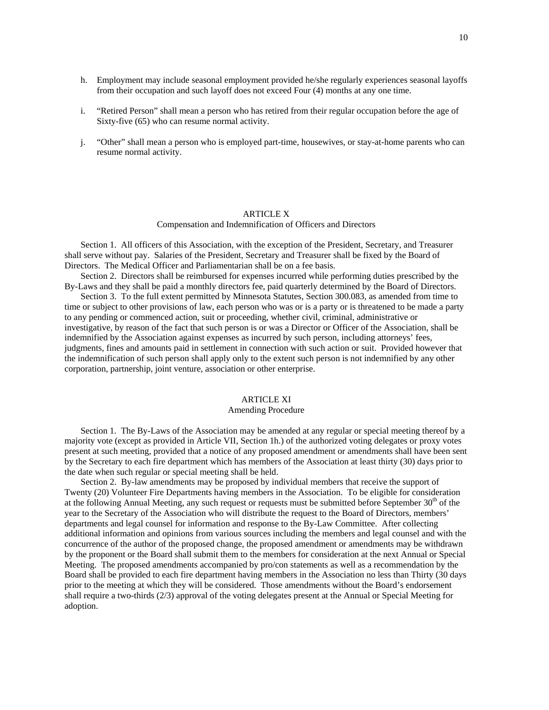- h. Employment may include seasonal employment provided he/she regularly experiences seasonal layoffs from their occupation and such layoff does not exceed Four (4) months at any one time.
- i. "Retired Person" shall mean a person who has retired from their regular occupation before the age of Sixty-five (65) who can resume normal activity.
- j. "Other" shall mean a person who is employed part-time, housewives, or stay-at-home parents who can resume normal activity.

#### ARTICLE X

#### Compensation and Indemnification of Officers and Directors

 Section 1. All officers of this Association, with the exception of the President, Secretary, and Treasurer shall serve without pay. Salaries of the President, Secretary and Treasurer shall be fixed by the Board of Directors. The Medical Officer and Parliamentarian shall be on a fee basis.

 Section 2. Directors shall be reimbursed for expenses incurred while performing duties prescribed by the By-Laws and they shall be paid a monthly directors fee, paid quarterly determined by the Board of Directors.

 Section 3. To the full extent permitted by Minnesota Statutes, Section 300.083, as amended from time to time or subject to other provisions of law, each person who was or is a party or is threatened to be made a party to any pending or commenced action, suit or proceeding, whether civil, criminal, administrative or investigative, by reason of the fact that such person is or was a Director or Officer of the Association, shall be indemnified by the Association against expenses as incurred by such person, including attorneys' fees, judgments, fines and amounts paid in settlement in connection with such action or suit. Provided however that the indemnification of such person shall apply only to the extent such person is not indemnified by any other corporation, partnership, joint venture, association or other enterprise.

## ARTICLE XI

## Amending Procedure

 Section 1. The By-Laws of the Association may be amended at any regular or special meeting thereof by a majority vote (except as provided in Article VII, Section 1h.) of the authorized voting delegates or proxy votes present at such meeting, provided that a notice of any proposed amendment or amendments shall have been sent by the Secretary to each fire department which has members of the Association at least thirty (30) days prior to the date when such regular or special meeting shall be held.

 Section 2. By-law amendments may be proposed by individual members that receive the support of Twenty (20) Volunteer Fire Departments having members in the Association. To be eligible for consideration at the following Annual Meeting, any such request or requests must be submitted before September  $30<sup>th</sup>$  of the year to the Secretary of the Association who will distribute the request to the Board of Directors, members' departments and legal counsel for information and response to the By-Law Committee. After collecting additional information and opinions from various sources including the members and legal counsel and with the concurrence of the author of the proposed change, the proposed amendment or amendments may be withdrawn by the proponent or the Board shall submit them to the members for consideration at the next Annual or Special Meeting. The proposed amendments accompanied by pro/con statements as well as a recommendation by the Board shall be provided to each fire department having members in the Association no less than Thirty (30 days prior to the meeting at which they will be considered. Those amendments without the Board's endorsement shall require a two-thirds (2/3) approval of the voting delegates present at the Annual or Special Meeting for adoption.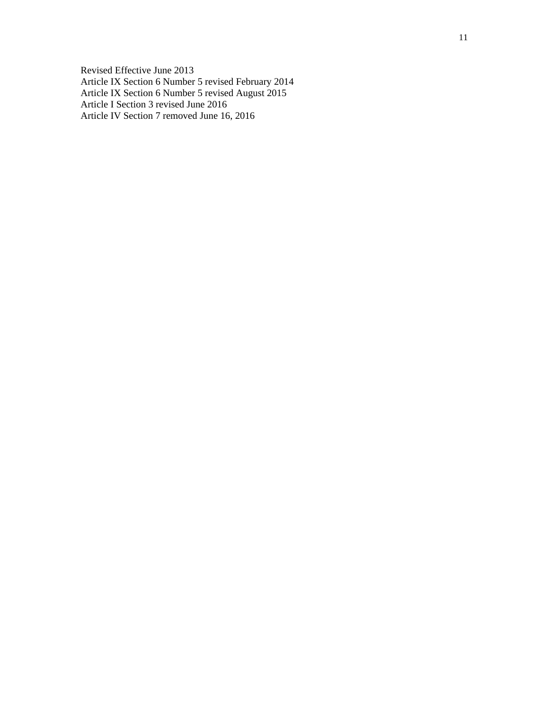Revised Effective June 2013 Article IX Section 6 Number 5 revised February 2014 Article IX Section 6 Number 5 revised August 2015 Article I Section 3 revised June 2016 Article IV Section 7 removed June 16, 2016